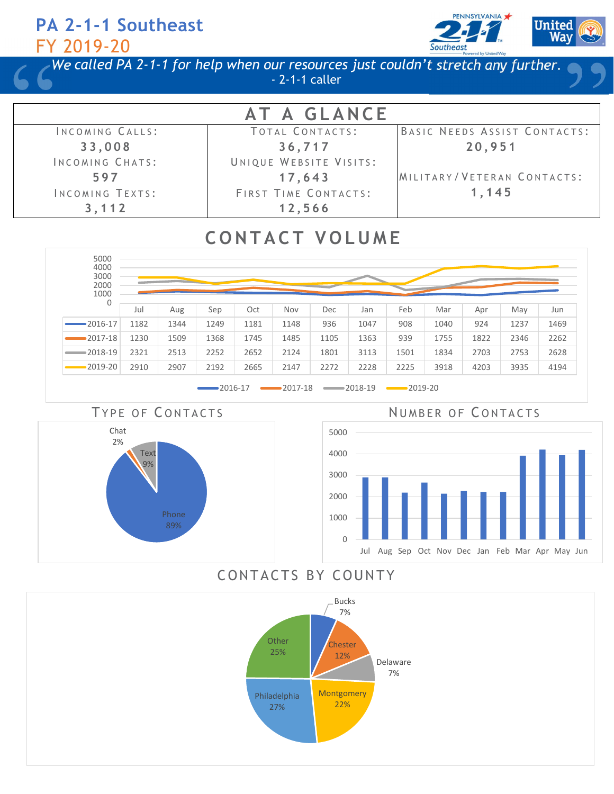

We called PA 2-1-1 for help when our resources just couldn't stretch any further. - 2-1-1 caller

| AT A GLANCE            |                        |                              |  |  |  |
|------------------------|------------------------|------------------------------|--|--|--|
| INCOMING CALLS:        | TOTAL CONTACTS:        | BASIC NEEDS ASSIST CONTACTS: |  |  |  |
| 33,008                 | 36,717                 | 20,951                       |  |  |  |
| INCOMING CHATS:        | UNIQUE WEBSITE VISITS: |                              |  |  |  |
| 597                    | 17,643                 | MILITARY/VETERAN CONTACTS:   |  |  |  |
| <b>INCOMING TEXTS:</b> | FIRST TIME CONTACTS:   | 1,145                        |  |  |  |
| 3,112                  | 12,566                 |                              |  |  |  |

# **CONTACT VOLUME**





TYPE OF CONTACTS NUMBER OF CONTACTS



### CONTACTS BY COUNTY

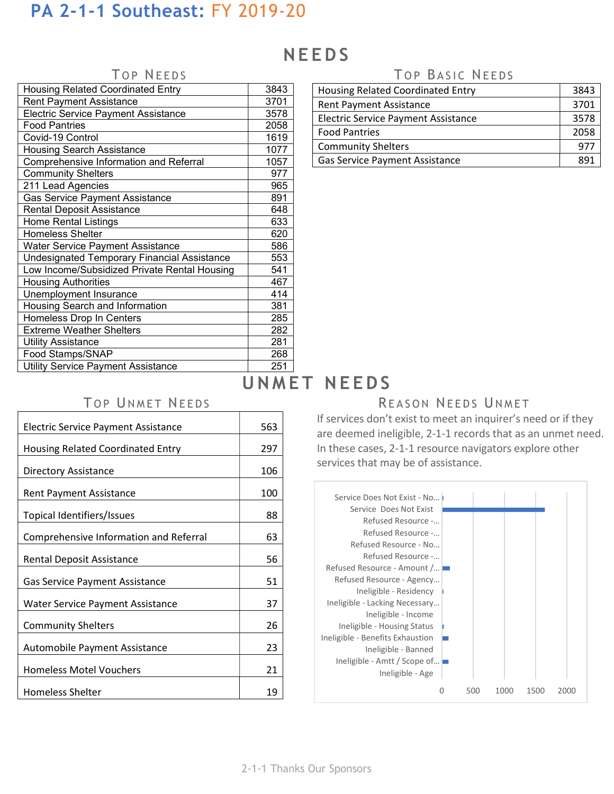# **NEEDS**

### Housing Related Coordinated Entry 19843 Rent Payment Assistance 1 3701 Electric Service Payment Assistance | 3578 Food Pantries 2058 Covid-19 Control 2001 1619 Housing Search Assistance 1077 Comprehensive Information and Referral 1057 Community Shelters **1977** 211 Lead Agencies 211 Lead Agencies Gas Service Payment Assistance 1991 Rental Deposit Assistance **648** Home Rental Listings 633 Homeless Shelter 620 Water Service Payment Assistance **Fig. 1886** Undesignated Temporary Financial Assistance | 553 Low Income/Subsidized Private Rental Housing | 541 Housing Authorities **Authorities 1997** Unemployment Insurance 1 414 Housing Search and Information **Fig. 1881** Homeless Drop In Centers **285** Extreme Weather Shelters **282** Utility Assistance 281 Food Stamps/SNAP 268 Utility Service Payment Assistance 251

### TOP NEEDS TOP BASIC NEEDS

| Housing Related Coordinated Entry          |      |
|--------------------------------------------|------|
| <b>Rent Payment Assistance</b>             |      |
| <b>Electric Service Payment Assistance</b> | 3578 |
| <b>Food Pantries</b>                       | 2058 |
| <b>Community Shelters</b>                  | 977  |
| <b>Gas Service Payment Assistance</b>      |      |

# UNMET NEEDS

## TOP UNMET NEEDS SALL TO PREASON NEEDS UNMET

If services don't exist to meet an inquirer's need or if they are deemed ineligible, 2-1-1 records that as an unmet need. In these cases, 2-1-1 resource navigators explore other services that may be of assistance.



| <b>Electric Service Payment Assistance</b> | 563 |
|--------------------------------------------|-----|
| <b>Housing Related Coordinated Entry</b>   | 297 |
| Directory Assistance                       | 106 |
| <b>Rent Payment Assistance</b>             | 100 |
| Topical Identifiers/Issues                 | 88  |
| Comprehensive Information and Referral     | 63  |
| Rental Deposit Assistance                  | 56  |
| <b>Gas Service Payment Assistance</b>      | 51  |
| <b>Water Service Payment Assistance</b>    | 37  |
| <b>Community Shelters</b>                  | 26  |
| Automobile Payment Assistance              | 23  |
| <b>Homeless Motel Vouchers</b>             | 21  |
| <b>Homeless Shelter</b>                    | 19  |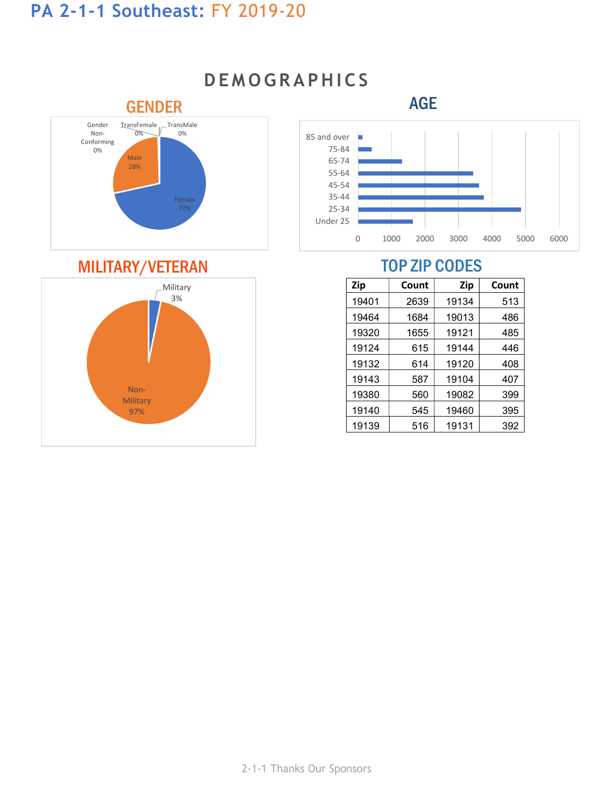

# **DEMOGRAPHICS**



| <b>Zip</b> | Count | Zip   | Count |
|------------|-------|-------|-------|
| 19401      | 2639  | 19134 | 513   |
| 19464      | 1684  | 19013 | 486   |
| 19320      | 1655  | 19121 | 485   |
| 19124      | 615   | 19144 | 446   |
| 19132      | 614   | 19120 | 408   |
| 19143      | 587   | 19104 | 407   |
| 19380      | 560   | 19082 | 399   |
| 19140      | 545   | 19460 | 395   |
| 19139      | 516   | 19131 | 392   |

# MILITARY/VETERAN TOP ZIP CODES